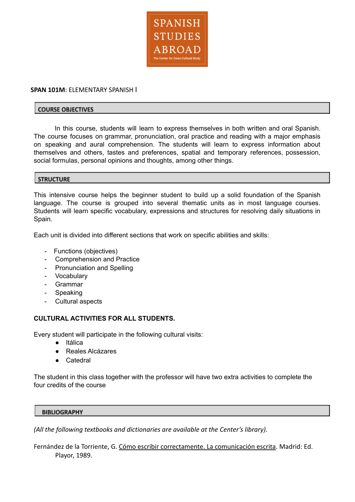

# **SPAN 101M**: ELEMENTARY SPANISH I

#### **COURSE OBJECTIVES**

In this course, students will learn to express themselves in both written and oral Spanish. The course focuses on grammar, pronunciation, oral practice and reading with a major emphasis on speaking and aural comprehension. The students will learn to express information about themselves and others, tastes and preferences, spatial and temporary references, possession, social formulas, personal opinions and thoughts, among other things.

### **STRUCTURE**

This intensive course helps the beginner student to build up a solid foundation of the Spanish language. The course is grouped into several thematic units as in most language courses. Students will learn specific vocabulary, expressions and structures for resolving daily situations in Spain.

Each unit is divided into different sections that work on specific abilities and skills:

- Functions (objectives)
- Comprehension and Practice
- Pronunciation and Spelling
- Vocabulary
- Grammar
- Speaking
- Cultural aspects

## **CULTURAL ACTIVITIES FOR ALL STUDENTS.**

Every student will participate in the following cultural visits:

- Itálica
- Reales Alcázares
- Catedral

The student in this class together with the professor will have two extra activities to complete the four credits of the course

#### **BIBLIOGRAPHY**

*(All the following textbooks and dictionaries are available at the Center's library).*

Fernández de la Torriente, G. Cómo escribir correctamente. La comunicación escrita. Madrid: Ed. Playor, 1989.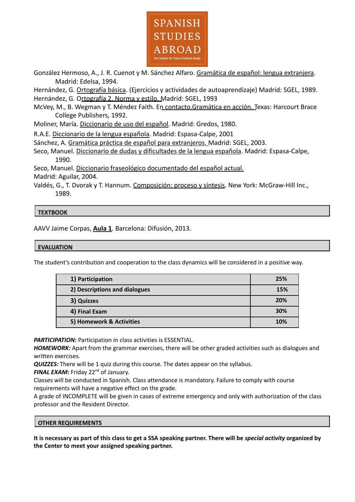

González Hermoso, A., J. R. Cuenot y M. Sánchez Alfaro. Gramática de español: lengua extranjera. Madrid: Edelsa, 1994.

Hernández, G. Ortografía básica. (Ejercicios y actividades de autoaprendizaje) Madrid: SGEL, 1989. Hernández, G. Ortografía 2. Norma y estilo. Madrid: SGEL, 1993

McVey, M., B. Wegman y T. Méndez Faith. En contacto.Gramática en acción. Texas: Harcourt Brace College Publishers, 1992.

Moliner, María. Diccionario de uso del español. Madrid: Gredos, 1980.

R.A.E. Diccionario de la lengua española. Madrid: Espasa-Calpe, 2001

Sánchez, A. Gramática práctica de español para extranjeros. Madrid: SGEL, 2003.

Seco, Manuel. Diccionario de dudas y dificultades de la lengua española. Madrid: Espasa-Calpe, 1990.

Seco, Manuel. Diccionario fraseológico documentado del español actual. Madrid: Aguilar, 2004.

Valdés, G., T. Dvorak y T. Hannum. Composición: proceso y síntesis. New York: McGraw-Hill Inc., 1989.

## **TEXTBOOK**

AAVV Jaime Corpas, **Aula 1**. Barcelona: Difusión, 2013.

## **EVALUATION**

The student's contribution and cooperation to the class dynamics will be considered in a positive way.

| 1) Participation              | 25% |
|-------------------------------|-----|
| 2) Descriptions and dialogues | 15% |
| 3) Quizzes                    | 20% |
| 4) Final Exam                 | 30% |
| 5) Homework & Activities      | 10% |

**PARTICIPATION:** Participation in class activities is ESSENTIAL.

*HOMEWORK:* Apart from the grammar exercises, there will be other graded activities such as dialogues and written exercises.

*QUIZZES:* There will be 1 quiz during this course. The dates appear on the syllabus.

FINAL EXAM: Friday 22<sup>nd</sup> of January.

Classes will be conducted in Spanish. Class attendance is mandatory. Failure to comply with course requirements will have a negative effect on the grade.

A grade of INCOMPLETE will be given in cases of extreme emergency and only with authorization of the class professor and the Resident Director.

#### **OTHER REQUIREMENTS**

It is necessary as part of this class to get a SSA speaking partner. There will be special activity organized by **the Center to meet your assigned speaking partner.**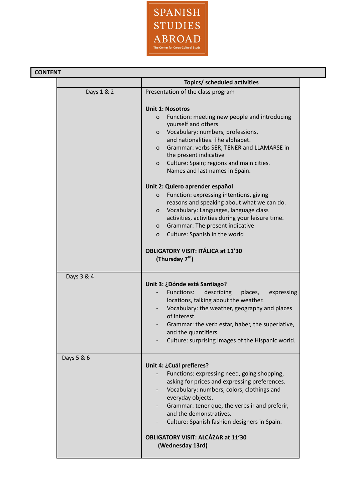

|            | Topics/ scheduled activities                                                                                                                                                                                                                                                                                                                                                                                                                                                                                                                                                                                                                                                                                                                                                        |
|------------|-------------------------------------------------------------------------------------------------------------------------------------------------------------------------------------------------------------------------------------------------------------------------------------------------------------------------------------------------------------------------------------------------------------------------------------------------------------------------------------------------------------------------------------------------------------------------------------------------------------------------------------------------------------------------------------------------------------------------------------------------------------------------------------|
|            |                                                                                                                                                                                                                                                                                                                                                                                                                                                                                                                                                                                                                                                                                                                                                                                     |
| Days 1 & 2 | Presentation of the class program<br><b>Unit 1: Nosotros</b><br>Function: meeting new people and introducing<br>$\mathbf{O}$<br>yourself and others<br>Vocabulary: numbers, professions,<br>$\mathsf{O}$<br>and nationalities. The alphabet.<br>Grammar: verbs SER, TENER and LLAMARSE in<br>$\mathbf{O}$<br>the present indicative<br>Culture: Spain; regions and main cities.<br>0<br>Names and last names in Spain.<br>Unit 2: Quiero aprender español<br>Function: expressing intentions, giving<br>$\mathsf{o}$<br>reasons and speaking about what we can do.<br>Vocabulary: Languages, language class<br>$\mathbf{O}$<br>activities, activities during your leisure time.<br>Grammar: The present indicative<br>$\mathbf{O}$<br>Culture: Spanish in the world<br>$\mathbf{O}$ |
|            | <b>OBLIGATORY VISIT: ITÁLICA at 11'30</b><br>(Thursday 7 <sup>th</sup> )                                                                                                                                                                                                                                                                                                                                                                                                                                                                                                                                                                                                                                                                                                            |
| Days 3 & 4 | Unit 3: ¿Dónde está Santiago?<br>Functions:<br>describing<br>places,<br>expressing<br>locations, talking about the weather.<br>Vocabulary: the weather, geography and places<br>of interest.<br>Grammar: the verb estar, haber, the superlative,<br>and the quantifiers.<br>Culture: surprising images of the Hispanic world.                                                                                                                                                                                                                                                                                                                                                                                                                                                       |
| Days 5 & 6 | Unit 4: ¿Cuál prefieres?<br>Functions: expressing need, going shopping,<br>asking for prices and expressing preferences.<br>Vocabulary: numbers, colors, clothings and<br>everyday objects.<br>Grammar: tener que, the verbs ir and preferir,<br>and the demonstratives.<br>Culture: Spanish fashion designers in Spain.<br><b>OBLIGATORY VISIT: ALCÁZAR at 11'30</b><br>(Wednesday 13rd)                                                                                                                                                                                                                                                                                                                                                                                           |